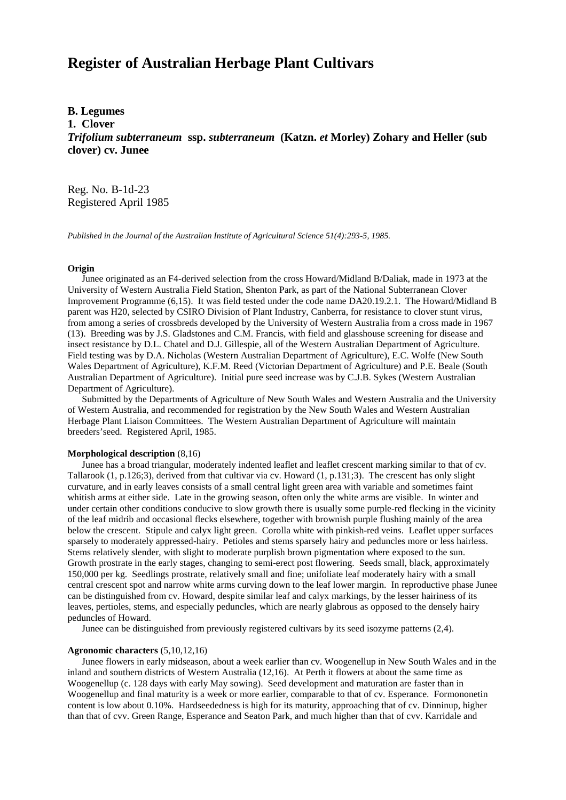# **Register of Australian Herbage Plant Cultivars**

## **B. Legumes**

**1. Clover**

*Trifolium subterraneum* **ssp.** *subterraneum* **(Katzn.** *et* **Morley) Zohary and Heller (sub clover) cv. Junee**

Reg. No. B-1d-23 Registered April 1985

*Published in the Journal of the Australian Institute of Agricultural Science 51(4):293-5, 1985.*

#### **Origin**

 Junee originated as an F4-derived selection from the cross Howard/Midland B/Daliak, made in 1973 at the University of Western Australia Field Station, Shenton Park, as part of the National Subterranean Clover Improvement Programme (6,15). It was field tested under the code name DA20.19.2.1. The Howard/Midland B parent was H20, selected by CSIRO Division of Plant Industry, Canberra, for resistance to clover stunt virus, from among a series of crossbreds developed by the University of Western Australia from a cross made in 1967 (13). Breeding was by J.S. Gladstones and C.M. Francis, with field and glasshouse screening for disease and insect resistance by D.L. Chatel and D.J. Gillespie, all of the Western Australian Department of Agriculture. Field testing was by D.A. Nicholas (Western Australian Department of Agriculture), E.C. Wolfe (New South Wales Department of Agriculture), K.F.M. Reed (Victorian Department of Agriculture) and P.E. Beale (South Australian Department of Agriculture). Initial pure seed increase was by C.J.B. Sykes (Western Australian Department of Agriculture).

 Submitted by the Departments of Agriculture of New South Wales and Western Australia and the University of Western Australia, and recommended for registration by the New South Wales and Western Australian Herbage Plant Liaison Committees. The Western Australian Department of Agriculture will maintain breeders'seed. Registered April, 1985.

#### **Morphological description** (8,16)

 Junee has a broad triangular, moderately indented leaflet and leaflet crescent marking similar to that of cv. Tallarook (1, p.126;3), derived from that cultivar via cv. Howard (1, p.131;3). The crescent has only slight curvature, and in early leaves consists of a small central light green area with variable and sometimes faint whitish arms at either side. Late in the growing season, often only the white arms are visible. In winter and under certain other conditions conducive to slow growth there is usually some purple-red flecking in the vicinity of the leaf midrib and occasional flecks elsewhere, together with brownish purple flushing mainly of the area below the crescent. Stipule and calyx light green. Corolla white with pinkish-red veins. Leaflet upper surfaces sparsely to moderately appressed-hairy. Petioles and stems sparsely hairy and peduncles more or less hairless. Stems relatively slender, with slight to moderate purplish brown pigmentation where exposed to the sun. Growth prostrate in the early stages, changing to semi-erect post flowering. Seeds small, black, approximately 150,000 per kg. Seedlings prostrate, relatively small and fine; unifoliate leaf moderately hairy with a small central crescent spot and narrow white arms curving down to the leaf lower margin. In reproductive phase Junee can be distinguished from cv. Howard, despite similar leaf and calyx markings, by the lesser hairiness of its leaves, pertioles, stems, and especially peduncles, which are nearly glabrous as opposed to the densely hairy peduncles of Howard.

Junee can be distinguished from previously registered cultivars by its seed isozyme patterns (2,4).

### **Agronomic characters** (5,10,12,16)

 Junee flowers in early midseason, about a week earlier than cv. Woogenellup in New South Wales and in the inland and southern districts of Western Australia (12,16). At Perth it flowers at about the same time as Woogenellup (c. 128 days with early May sowing). Seed development and maturation are faster than in Woogenellup and final maturity is a week or more earlier, comparable to that of cv. Esperance. Formononetin content is low about 0.10%. Hardseededness is high for its maturity, approaching that of cv. Dinninup, higher than that of cvv. Green Range, Esperance and Seaton Park, and much higher than that of cvv. Karridale and